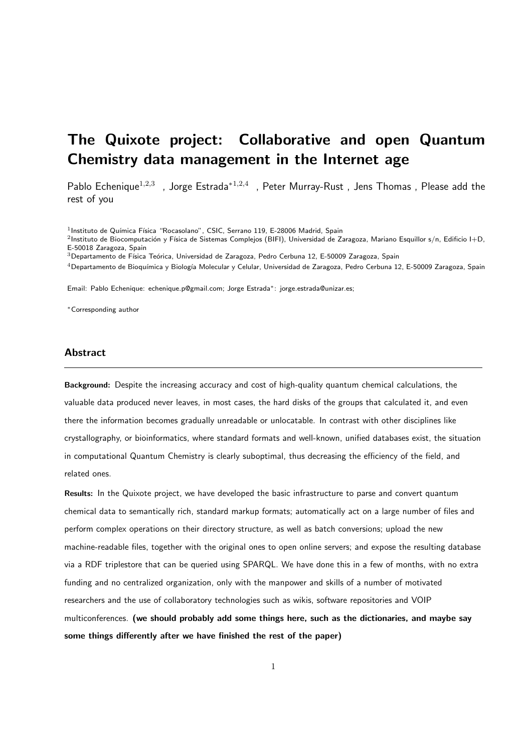# The Quixote project: Collaborative and open Quantum Chemistry data management in the Internet age

Pablo Echenique $^{1,2,3}$  , Jorge Estrada $^{*1,2,4}$  , Peter Murray-Rust, Jens Thomas, Please add the rest of you

<sup>1</sup> Instituto de Química Física "Rocasolano", CSIC, Serrano 119, E-28006 Madrid, Spain

<sup>2</sup>Instituto de Biocomputación y Física de Sistemas Complejos (BIFI), Universidad de Zaragoza, Mariano Esquillor s/n, Edificio I+D, E-50018 Zaragoza, Spain

 ${}^{3}$ Departamento de Física Teórica, Universidad de Zaragoza, Pedro Cerbuna 12, E-50009 Zaragoza, Spain

 $4$ Departamento de Bioquímica y Biología Molecular y Celular, Universidad de Zaragoza, Pedro Cerbuna 12, E-50009 Zaragoza, Spain

Email: Pablo Echenique: echenique.p@gmail.com; Jorge Estrada∗: jorge.estrada@unizar.es;

<sup>∗</sup>Corresponding author

## Abstract

Background: Despite the increasing accuracy and cost of high-quality quantum chemical calculations, the valuable data produced never leaves, in most cases, the hard disks of the groups that calculated it, and even there the information becomes gradually unreadable or unlocatable. In contrast with other disciplines like crystallography, or bioinformatics, where standard formats and well-known, unified databases exist, the situation in computational Quantum Chemistry is clearly suboptimal, thus decreasing the efficiency of the field, and related ones.

Results: In the Quixote project, we have developed the basic infrastructure to parse and convert quantum chemical data to semantically rich, standard markup formats; automatically act on a large number of files and perform complex operations on their directory structure, as well as batch conversions; upload the new machine-readable files, together with the original ones to open online servers; and expose the resulting database via a RDF triplestore that can be queried using SPARQL. We have done this in a few of months, with no extra funding and no centralized organization, only with the manpower and skills of a number of motivated researchers and the use of collaboratory technologies such as wikis, software repositories and VOIP multiconferences. (we should probably add some things here, such as the dictionaries, and maybe say some things differently after we have finished the rest of the paper)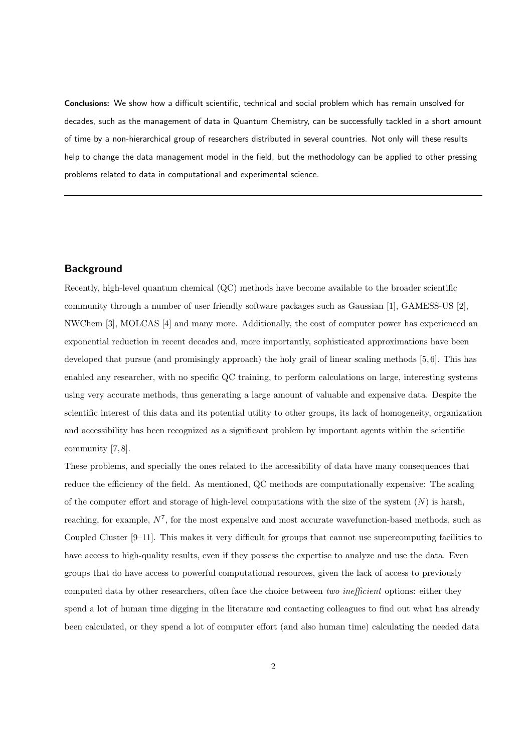Conclusions: We show how a difficult scientific, technical and social problem which has remain unsolved for decades, such as the management of data in Quantum Chemistry, can be successfully tackled in a short amount of time by a non-hierarchical group of researchers distributed in several countries. Not only will these results help to change the data management model in the field, but the methodology can be applied to other pressing problems related to data in computational and experimental science.

## **Background**

Recently, high-level quantum chemical (QC) methods have become available to the broader scientific community through a number of user friendly software packages such as Gaussian [1], GAMESS-US [2], NWChem [3], MOLCAS [4] and many more. Additionally, the cost of computer power has experienced an exponential reduction in recent decades and, more importantly, sophisticated approximations have been developed that pursue (and promisingly approach) the holy grail of linear scaling methods [5, 6]. This has enabled any researcher, with no specific QC training, to perform calculations on large, interesting systems using very accurate methods, thus generating a large amount of valuable and expensive data. Despite the scientific interest of this data and its potential utility to other groups, its lack of homogeneity, organization and accessibility has been recognized as a significant problem by important agents within the scientific community [7, 8].

These problems, and specially the ones related to the accessibility of data have many consequences that reduce the efficiency of the field. As mentioned, QC methods are computationally expensive: The scaling of the computer effort and storage of high-level computations with the size of the system  $(N)$  is harsh, reaching, for example,  $N^7$ , for the most expensive and most accurate wavefunction-based methods, such as Coupled Cluster [9–11]. This makes it very difficult for groups that cannot use supercomputing facilities to have access to high-quality results, even if they possess the expertise to analyze and use the data. Even groups that do have access to powerful computational resources, given the lack of access to previously computed data by other researchers, often face the choice between two inefficient options: either they spend a lot of human time digging in the literature and contacting colleagues to find out what has already been calculated, or they spend a lot of computer effort (and also human time) calculating the needed data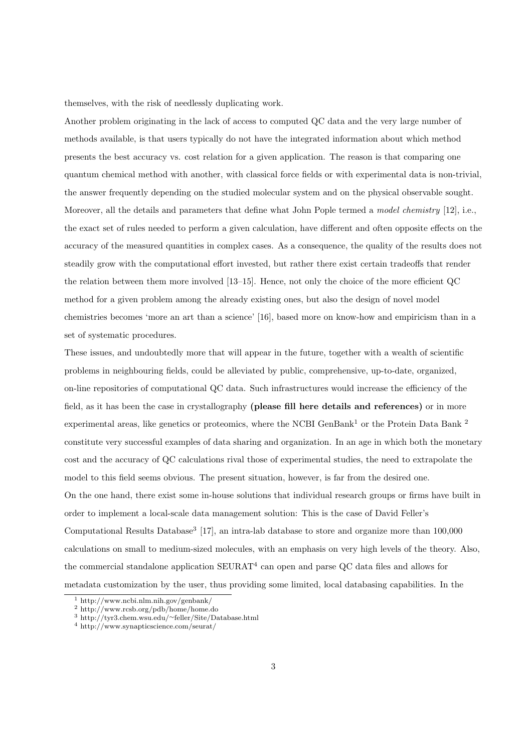themselves, with the risk of needlessly duplicating work.

Another problem originating in the lack of access to computed QC data and the very large number of methods available, is that users typically do not have the integrated information about which method presents the best accuracy vs. cost relation for a given application. The reason is that comparing one quantum chemical method with another, with classical force fields or with experimental data is non-trivial, the answer frequently depending on the studied molecular system and on the physical observable sought. Moreover, all the details and parameters that define what John Pople termed a model chemistry [12], i.e., the exact set of rules needed to perform a given calculation, have different and often opposite effects on the accuracy of the measured quantities in complex cases. As a consequence, the quality of the results does not steadily grow with the computational effort invested, but rather there exist certain tradeoffs that render the relation between them more involved [13–15]. Hence, not only the choice of the more efficient QC method for a given problem among the already existing ones, but also the design of novel model chemistries becomes 'more an art than a science' [16], based more on know-how and empiricism than in a set of systematic procedures.

These issues, and undoubtedly more that will appear in the future, together with a wealth of scientific problems in neighbouring fields, could be alleviated by public, comprehensive, up-to-date, organized, on-line repositories of computational QC data. Such infrastructures would increase the efficiency of the field, as it has been the case in crystallography (please fill here details and references) or in more experimental areas, like genetics or proteomics, where the NCBI GenBank<sup>1</sup> or the Protein Data Bank  $^2$ constitute very successful examples of data sharing and organization. In an age in which both the monetary cost and the accuracy of QC calculations rival those of experimental studies, the need to extrapolate the model to this field seems obvious. The present situation, however, is far from the desired one. On the one hand, there exist some in-house solutions that individual research groups or firms have built in order to implement a local-scale data management solution: This is the case of David Feller's Computational Results Database<sup>3</sup> [17], an intra-lab database to store and organize more than 100,000 calculations on small to medium-sized molecules, with an emphasis on very high levels of the theory. Also, the commercial standalone application  $SEURAT<sup>4</sup>$  can open and parse QC data files and allows for metadata customization by the user, thus providing some limited, local databasing capabilities. In the

<sup>1</sup> http://www.ncbi.nlm.nih.gov/genbank/

<sup>2</sup> http://www.rcsb.org/pdb/home/home.do

<sup>3</sup> http://tyr3.chem.wsu.edu/∼feller/Site/Database.html

<sup>4</sup> http://www.synapticscience.com/seurat/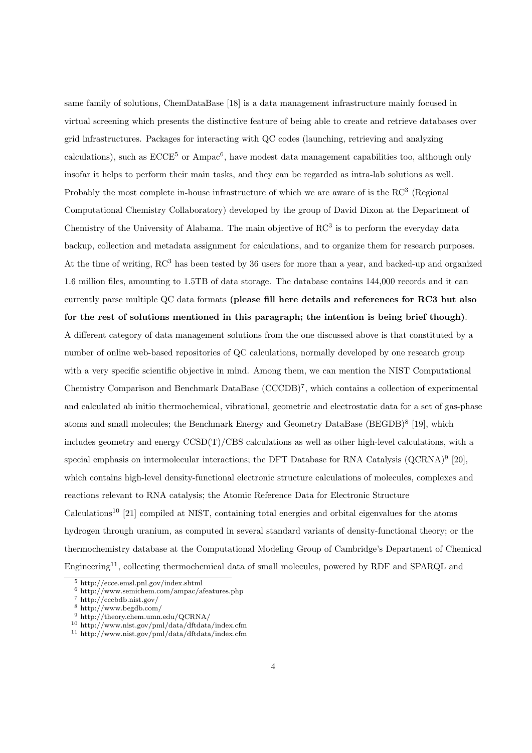same family of solutions, ChemDataBase [18] is a data management infrastructure mainly focused in virtual screening which presents the distinctive feature of being able to create and retrieve databases over grid infrastructures. Packages for interacting with QC codes (launching, retrieving and analyzing calculations), such as  $\text{ECCE}^5$  or Ampac<sup>6</sup>, have modest data management capabilities too, although only insofar it helps to perform their main tasks, and they can be regarded as intra-lab solutions as well. Probably the most complete in-house infrastructure of which we are aware of is the RC<sup>3</sup> (Regional Computational Chemistry Collaboratory) developed by the group of David Dixon at the Department of Chemistry of the University of Alabama. The main objective of  $RC<sup>3</sup>$  is to perform the everyday data backup, collection and metadata assignment for calculations, and to organize them for research purposes. At the time of writing, RC<sup>3</sup> has been tested by 36 users for more than a year, and backed-up and organized 1.6 million files, amounting to 1.5TB of data storage. The database contains 144,000 records and it can currently parse multiple QC data formats (please fill here details and references for RC3 but also for the rest of solutions mentioned in this paragraph; the intention is being brief though). A different category of data management solutions from the one discussed above is that constituted by a number of online web-based repositories of QC calculations, normally developed by one research group with a very specific scientific objective in mind. Among them, we can mention the NIST Computational Chemistry Comparison and Benchmark DataBase (CCCDB)<sup>7</sup>, which contains a collection of experimental and calculated ab initio thermochemical, vibrational, geometric and electrostatic data for a set of gas-phase atoms and small molecules; the Benchmark Energy and Geometry DataBase (BEGDB)<sup>8</sup> [19], which includes geometry and energy CCSD(T)/CBS calculations as well as other high-level calculations, with a special emphasis on intermolecular interactions; the DFT Database for RNA Catalysis  $(QCRNA)^9$  [20], which contains high-level density-functional electronic structure calculations of molecules, complexes and reactions relevant to RNA catalysis; the Atomic Reference Data for Electronic Structure Calculations<sup>10</sup> [21] compiled at NIST, containing total energies and orbital eigenvalues for the atoms hydrogen through uranium, as computed in several standard variants of density-functional theory; or the thermochemistry database at the Computational Modeling Group of Cambridge's Department of Chemical Engineering<sup>11</sup>, collecting thermochemical data of small molecules, powered by RDF and SPARQL and

 $^5$ http://ecce.emsl.pnl.gov/index.shtml

<sup>6</sup> http://www.semichem.com/ampac/afeatures.php

 $\frac{7 \text{ http://ccobdb.nist.gov/}}{8 \text{ http://www. headb.com}}$ 

http://www.begdb.com/

<sup>9</sup> http://theory.chem.umn.edu/QCRNA/

 $10$  http://www.nist.gov/pml/data/dftdata/index.cfm

<sup>11</sup> http://www.nist.gov/pml/data/dftdata/index.cfm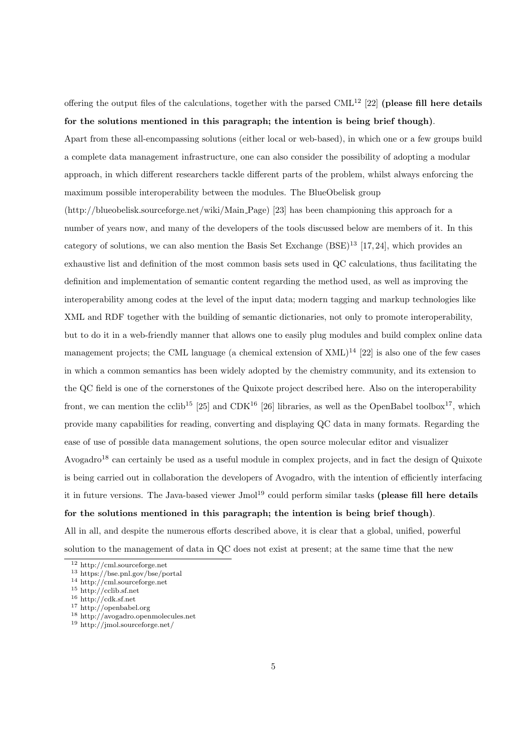offering the output files of the calculations, together with the parsed CML<sup>12</sup> [22] (please fill here details for the solutions mentioned in this paragraph; the intention is being brief though).

Apart from these all-encompassing solutions (either local or web-based), in which one or a few groups build a complete data management infrastructure, one can also consider the possibility of adopting a modular approach, in which different researchers tackle different parts of the problem, whilst always enforcing the maximum possible interoperability between the modules. The BlueObelisk group

(http://blueobelisk.sourceforge.net/wiki/Main Page) [23] has been championing this approach for a number of years now, and many of the developers of the tools discussed below are members of it. In this category of solutions, we can also mention the Basis Set Exchange  $(BSE)^{13}$  [17, 24], which provides an exhaustive list and definition of the most common basis sets used in QC calculations, thus facilitating the definition and implementation of semantic content regarding the method used, as well as improving the interoperability among codes at the level of the input data; modern tagging and markup technologies like XML and RDF together with the building of semantic dictionaries, not only to promote interoperability, but to do it in a web-friendly manner that allows one to easily plug modules and build complex online data management projects; the CML language (a chemical extension of  $XML$ )<sup>14</sup> [22] is also one of the few cases in which a common semantics has been widely adopted by the chemistry community, and its extension to the QC field is one of the cornerstones of the Quixote project described here. Also on the interoperability front, we can mention the cclib<sup>15</sup> [25] and CDK<sup>16</sup> [26] libraries, as well as the OpenBabel toolbox<sup>17</sup>, which provide many capabilities for reading, converting and displaying QC data in many formats. Regarding the ease of use of possible data management solutions, the open source molecular editor and visualizer Avogadro<sup>18</sup> can certainly be used as a useful module in complex projects, and in fact the design of Quixote is being carried out in collaboration the developers of Avogadro, with the intention of efficiently interfacing it in future versions. The Java-based viewer Jmol<sup>19</sup> could perform similar tasks (please fill here details for the solutions mentioned in this paragraph; the intention is being brief though). All in all, and despite the numerous efforts described above, it is clear that a global, unified, powerful

solution to the management of data in QC does not exist at present; at the same time that the new

<sup>12</sup> http://cml.sourceforge.net

<sup>13</sup> https://bse.pnl.gov/bse/portal

 $^{14}$ http://cml.sourceforge.net

 $15 \frac{\text{http://cclib.sf.net}}{}$ 

 $^{16}$ http://cdk.sf.net

<sup>17</sup> http://openbabel.org

<sup>18</sup> http://avogadro.openmolecules.net

<sup>19</sup> http://jmol.sourceforge.net/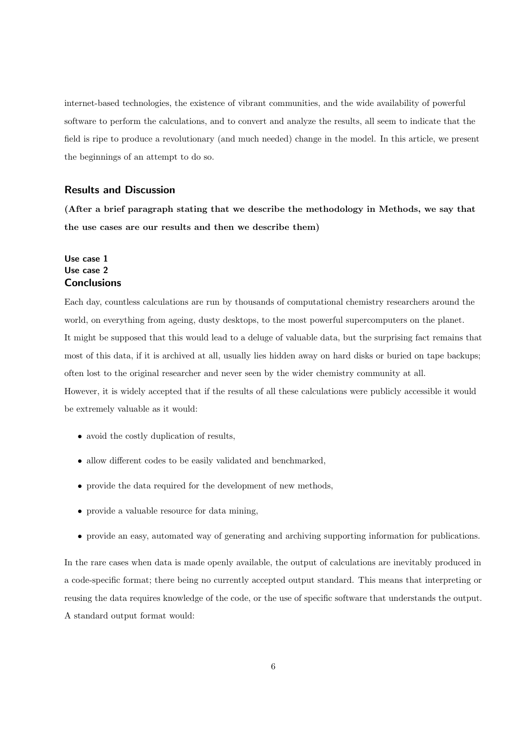internet-based technologies, the existence of vibrant communities, and the wide availability of powerful software to perform the calculations, and to convert and analyze the results, all seem to indicate that the field is ripe to produce a revolutionary (and much needed) change in the model. In this article, we present the beginnings of an attempt to do so.

## Results and Discussion

(After a brief paragraph stating that we describe the methodology in Methods, we say that the use cases are our results and then we describe them)

## Use case 1 Use case 2 **Conclusions**

Each day, countless calculations are run by thousands of computational chemistry researchers around the world, on everything from ageing, dusty desktops, to the most powerful supercomputers on the planet. It might be supposed that this would lead to a deluge of valuable data, but the surprising fact remains that most of this data, if it is archived at all, usually lies hidden away on hard disks or buried on tape backups; often lost to the original researcher and never seen by the wider chemistry community at all. However, it is widely accepted that if the results of all these calculations were publicly accessible it would be extremely valuable as it would:

- avoid the costly duplication of results,
- allow different codes to be easily validated and benchmarked,
- provide the data required for the development of new methods,
- provide a valuable resource for data mining,
- provide an easy, automated way of generating and archiving supporting information for publications.

In the rare cases when data is made openly available, the output of calculations are inevitably produced in a code-specific format; there being no currently accepted output standard. This means that interpreting or reusing the data requires knowledge of the code, or the use of specific software that understands the output. A standard output format would: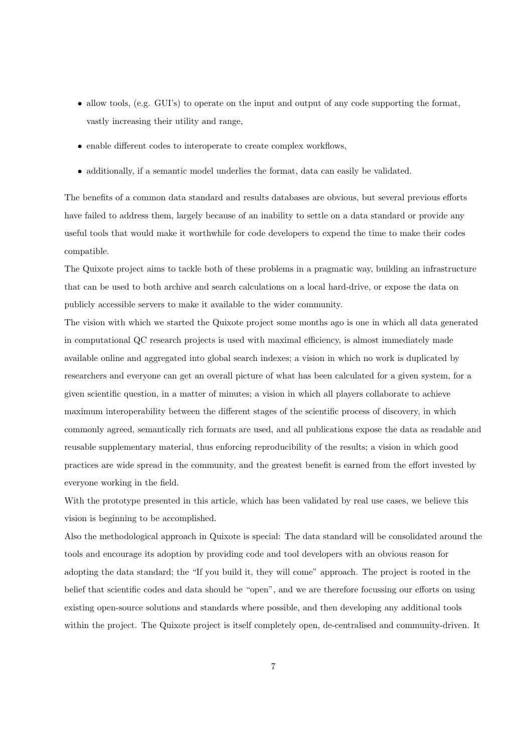- allow tools, (e.g. GUI's) to operate on the input and output of any code supporting the format, vastly increasing their utility and range,
- enable different codes to interoperate to create complex workflows.
- additionally, if a semantic model underlies the format, data can easily be validated.

The benefits of a common data standard and results databases are obvious, but several previous efforts have failed to address them, largely because of an inability to settle on a data standard or provide any useful tools that would make it worthwhile for code developers to expend the time to make their codes compatible.

The Quixote project aims to tackle both of these problems in a pragmatic way, building an infrastructure that can be used to both archive and search calculations on a local hard-drive, or expose the data on publicly accessible servers to make it available to the wider community.

The vision with which we started the Quixote project some months ago is one in which all data generated in computational QC research projects is used with maximal efficiency, is almost immediately made available online and aggregated into global search indexes; a vision in which no work is duplicated by researchers and everyone can get an overall picture of what has been calculated for a given system, for a given scientific question, in a matter of minutes; a vision in which all players collaborate to achieve maximum interoperability between the different stages of the scientific process of discovery, in which commonly agreed, semantically rich formats are used, and all publications expose the data as readable and reusable supplementary material, thus enforcing reproducibility of the results; a vision in which good practices are wide spread in the community, and the greatest benefit is earned from the effort invested by everyone working in the field.

With the prototype presented in this article, which has been validated by real use cases, we believe this vision is beginning to be accomplished.

Also the methodological approach in Quixote is special: The data standard will be consolidated around the tools and encourage its adoption by providing code and tool developers with an obvious reason for adopting the data standard; the "If you build it, they will come" approach. The project is rooted in the belief that scientific codes and data should be "open", and we are therefore focussing our efforts on using existing open-source solutions and standards where possible, and then developing any additional tools within the project. The Quixote project is itself completely open, de-centralised and community-driven. It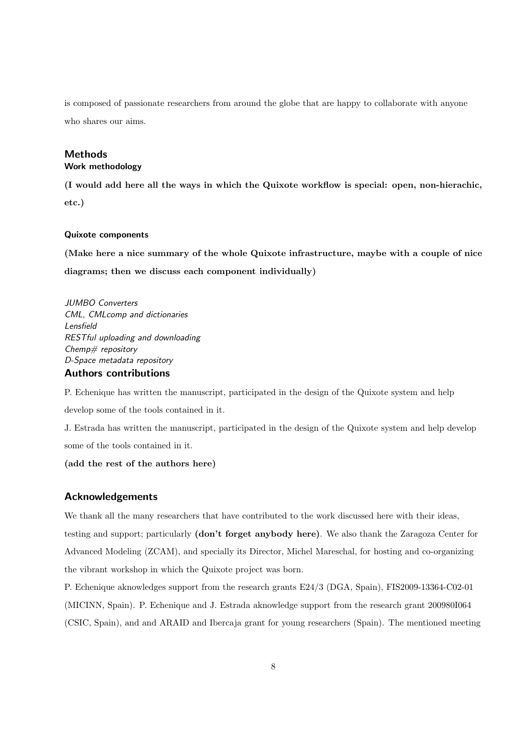is composed of passionate researchers from around the globe that are happy to collaborate with anyone who shares our aims.

## Methods

## Work methodology

(I would add here all the ways in which the Quixote workflow is special: open, non-hierachic, etc.)

#### Quixote components

(Make here a nice summary of the whole Quixote infrastructure, maybe with a couple of nice diagrams; then we discuss each component individually)

JUMBO Converters CML, CMLcomp and dictionaries Lensfield RESTful uploading and downloading Chemp $#$  repository D-Space metadata repository

## Authors contributions

P. Echenique has written the manuscript, participated in the design of the Quixote system and help

develop some of the tools contained in it.

J. Estrada has written the manuscript, participated in the design of the Quixote system and help develop some of the tools contained in it.

## (add the rest of the authors here)

#### Acknowledgements

We thank all the many researchers that have contributed to the work discussed here with their ideas, testing and support; particularly (don't forget anybody here). We also thank the Zaragoza Center for Advanced Modeling (ZCAM), and specially its Director, Michel Mareschal, for hosting and co-organizing the vibrant workshop in which the Quixote project was born.

P. Echenique aknowledges support from the research grants E24/3 (DGA, Spain), FIS2009-13364-C02-01 (MICINN, Spain). P. Echenique and J. Estrada aknowledge support from the research grant 200980I064 (CSIC, Spain), and and ARAID and Ibercaja grant for young researchers (Spain). The mentioned meeting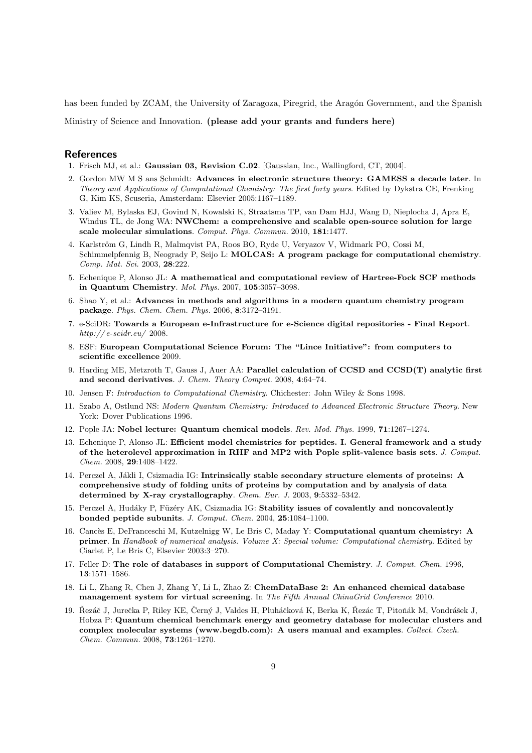has been funded by ZCAM, the University of Zaragoza, Piregrid, the Aragón Government, and the Spanish

Ministry of Science and Innovation. (please add your grants and funders here)

#### References

- 1. Frisch MJ, et al.: Gaussian 03, Revision C.02. [Gaussian, Inc., Wallingford, CT, 2004].
- 2. Gordon MW M S ans Schmidt: Advances in electronic structure theory: GAMESS a decade later. In Theory and Applications of Computational Chemistry: The first forty years. Edited by Dykstra CE, Frenking G, Kim KS, Scuseria, Amsterdam: Elsevier 2005:1167–1189.
- 3. Valiev M, Bylaska EJ, Govind N, Kowalski K, Straatsma TP, van Dam HJJ, Wang D, Nieplocha J, Apra E, Windus TL, de Jong WA: NWChem: a comprehensive and scalable open-source solution for large scale molecular simulations. Comput. Phys. Commun. 2010, 181:1477.
- 4. Karlström G, Lindh R, Malmqvist PA, Roos BO, Ryde U, Veryazov V, Widmark PO, Cossi M, Schimmelpfennig B, Neogrady P, Seijo L: MOLCAS: A program package for computational chemistry. Comp. Mat. Sci. 2003, 28:222.
- 5. Echenique P, Alonso JL: A mathematical and computational review of Hartree-Fock SCF methods in Quantum Chemistry. Mol. Phys. 2007, 105:3057–3098.
- 6. Shao Y, et al.: Advances in methods and algorithms in a modern quantum chemistry program package. Phys. Chem. Chem. Phys. 2006, 8:3172–3191.
- 7. e-SciDR: Towards a European e-Infrastructure for e-Science digital repositories Final Report. http:// $e$ -scidr.eu/ 2008.
- 8. ESF: European Computational Science Forum: The "Lince Initiative": from computers to scientific excellence 2009.
- 9. Harding ME, Metzroth T, Gauss J, Auer AA: Parallel calculation of CCSD and CCSD(T) analytic first and second derivatives. J. Chem. Theory Comput. 2008, 4:64–74.
- 10. Jensen F: Introduction to Computational Chemistry. Chichester: John Wiley & Sons 1998.
- 11. Szabo A, Ostlund NS: Modern Quantum Chemistry: Introduced to Advanced Electronic Structure Theory. New York: Dover Publications 1996.
- 12. Pople JA: Nobel lecture: Quantum chemical models. Rev. Mod. Phys. 1999, 71:1267–1274.
- 13. Echenique P, Alonso JL: Efficient model chemistries for peptides. I. General framework and a study of the heterolevel approximation in RHF and MP2 with Pople split-valence basis sets. J. Comput. Chem. 2008, 29:1408–1422.
- 14. Perczel A, Jákli I, Csizmadia IG: Intrinsically stable secondary structure elements of proteins: A comprehensive study of folding units of proteins by computation and by analysis of data determined by X-ray crystallography. Chem. Eur. J. 2003, 9:5332-5342.
- 15. Perczel A, Hudáky P, Füzéry AK, Csizmadia IG: Stability issues of covalently and noncovalently bonded peptide subunits. J. Comput. Chem. 2004, 25:1084–1100.
- 16. Cancès E, DeFranceschi M, Kutzelnigg W, Le Bris C, Maday Y: Computational quantum chemistry: A primer. In Handbook of numerical analysis. Volume X: Special volume: Computational chemistry. Edited by Ciarlet P, Le Bris C, Elsevier 2003:3–270.
- 17. Feller D: The role of databases in support of Computational Chemistry. J. Comput. Chem. 1996, 13:1571–1586.
- 18. Li L, Zhang R, Chen J, Zhang Y, Li L, Zhao Z: ChemDataBase 2: An enhanced chemical database management system for virtual screening. In The Fifth Annual ChinaGrid Conference 2010.
- 19. Řezáč J, Jurečka P, Riley KE, Černý J, Valdes H, Pluháčková K, Berka K, Řezác T, Pitoňák M, Vondrášek J, Hobza P: Quantum chemical benchmark energy and geometry database for molecular clusters and complex molecular systems (www.begdb.com): A users manual and examples. Collect. Czech. Chem. Commun. 2008, 73:1261–1270.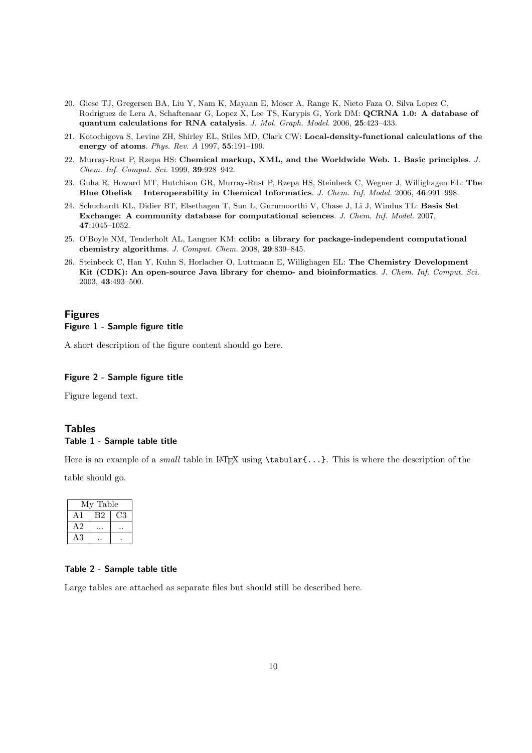- 20. Giese TJ, Gregersen BA, Liu Y, Nam K, Mayaan E, Moser A, Range K, Nieto Faza O, Silva Lopez C, Rodriguez de Lera A, Schaftenaar G, Lopez X, Lee TS, Karypis G, York DM: QCRNA 1.0: A database of quantum calculations for RNA catalysis. J. Mol. Graph. Model. 2006, 25:423–433.
- 21. Kotochigova S, Levine ZH, Shirley EL, Stiles MD, Clark CW: Local-density-functional calculations of the energy of atoms. Phys. Rev. A 1997, 55:191–199.
- 22. Murray-Rust P, Rzepa HS: Chemical markup, XML, and the Worldwide Web. 1. Basic principles. J. Chem. Inf. Comput. Sci. 1999, 39:928–942.
- 23. Guha R, Howard MT, Hutchison GR, Murray-Rust P, Rzepa HS, Steinbeck C, Wegner J, Willighagen EL: The Blue Obelisk – Interoperability in Chemical Informatics. J. Chem. Inf. Model. 2006, 46:991–998.
- 24. Schuchardt KL, Didier BT, Elsethagen T, Sun L, Gurumoorthi V, Chase J, Li J, Windus TL: Basis Set Exchange: A community database for computational sciences. J. Chem. Inf. Model. 2007, 47:1045–1052.
- 25. O'Boyle NM, Tenderholt AL, Langner KM: cclib: a library for package-independent computational chemistry algorithms. J. Comput. Chem. 2008, 29:839–845.
- 26. Steinbeck C, Han Y, Kuhn S, Horlacher O, Luttmann E, Willighagen EL: The Chemistry Development Kit (CDK): An open-source Java library for chemo- and bioinformatics. J. Chem. Inf. Comput. Sci. 2003, 43:493–500.

## Figures Figure 1 - Sample figure title

A short description of the figure content should go here.

#### Figure 2 - Sample figure title

Figure legend text.

## Tables Table 1 - Sample table title

Here is an example of a *small* table in LATEX using  $\tau$ ...}. This is where the description of the

table should go.

| My Table |    |  |
|----------|----|--|
| A        | B2 |  |
| A2       |    |  |
| A3       |    |  |

#### Table 2 - Sample table title

Large tables are attached as separate files but should still be described here.